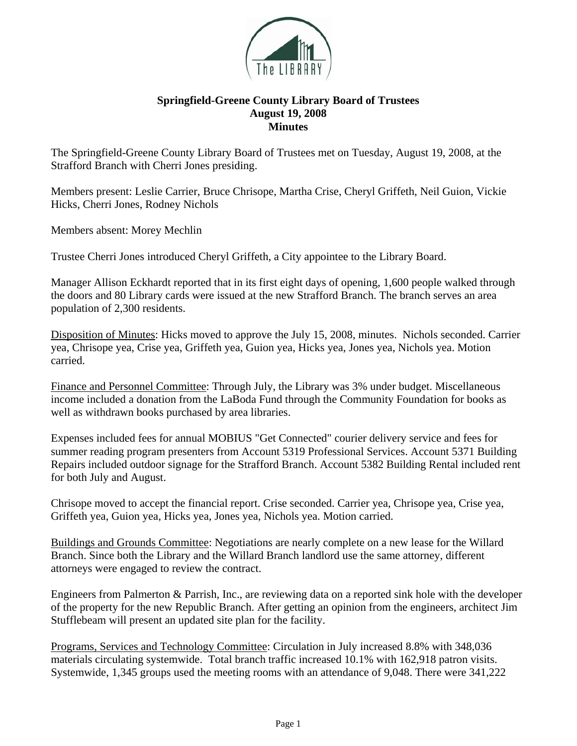

## **Springfield-Greene County Library Board of Trustees August 19, 2008 Minutes**

The Springfield-Greene County Library Board of Trustees met on Tuesday, August 19, 2008, at the Strafford Branch with Cherri Jones presiding.

Members present: Leslie Carrier, Bruce Chrisope, Martha Crise, Cheryl Griffeth, Neil Guion, Vickie Hicks, Cherri Jones, Rodney Nichols

Members absent: Morey Mechlin

Trustee Cherri Jones introduced Cheryl Griffeth, a City appointee to the Library Board.

Manager Allison Eckhardt reported that in its first eight days of opening, 1,600 people walked through the doors and 80 Library cards were issued at the new Strafford Branch. The branch serves an area population of 2,300 residents.

Disposition of Minutes: Hicks moved to approve the July 15, 2008, minutes. Nichols seconded. Carrier yea, Chrisope yea, Crise yea, Griffeth yea, Guion yea, Hicks yea, Jones yea, Nichols yea. Motion carried.

Finance and Personnel Committee: Through July, the Library was 3% under budget. Miscellaneous income included a donation from the LaBoda Fund through the Community Foundation for books as well as withdrawn books purchased by area libraries.

Expenses included fees for annual MOBIUS "Get Connected" courier delivery service and fees for summer reading program presenters from Account 5319 Professional Services. Account 5371 Building Repairs included outdoor signage for the Strafford Branch. Account 5382 Building Rental included rent for both July and August.

Chrisope moved to accept the financial report. Crise seconded. Carrier yea, Chrisope yea, Crise yea, Griffeth yea, Guion yea, Hicks yea, Jones yea, Nichols yea. Motion carried.

Buildings and Grounds Committee: Negotiations are nearly complete on a new lease for the Willard Branch. Since both the Library and the Willard Branch landlord use the same attorney, different attorneys were engaged to review the contract.

Engineers from Palmerton & Parrish, Inc., are reviewing data on a reported sink hole with the developer of the property for the new Republic Branch. After getting an opinion from the engineers, architect Jim Stufflebeam will present an updated site plan for the facility.

Programs, Services and Technology Committee: Circulation in July increased 8.8% with 348,036 materials circulating systemwide. Total branch traffic increased 10.1% with 162,918 patron visits. Systemwide, 1,345 groups used the meeting rooms with an attendance of 9,048. There were 341,222